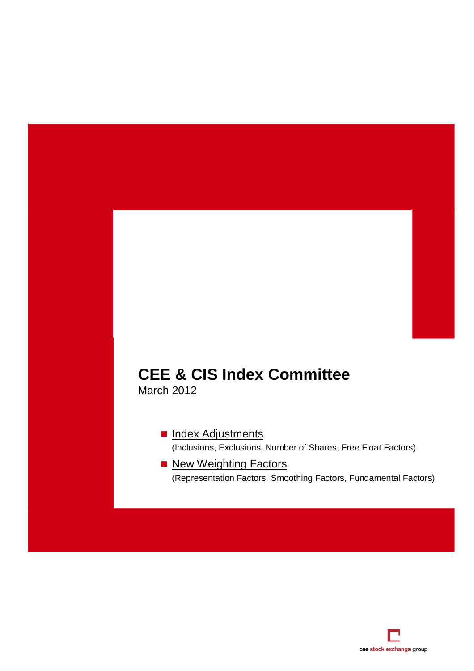# **CEE & CIS Index Committee**

March 2012

[Index Adjustments](#page-1-0) (Inclusions, Exclusions, Number of Shares, Free Float Factors)

**New Weighting Factors** (Representation Factors, Smoothing Factors, Fundamental Factors)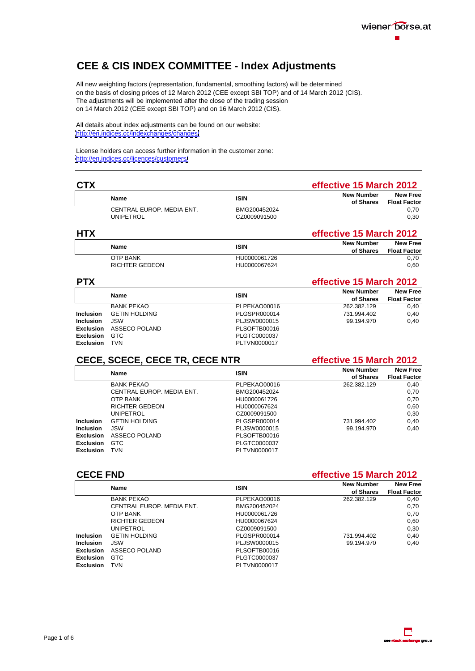

### <span id="page-1-0"></span>**CEE & CIS INDEX COMMITTEE - Index Adjustments**

All new weighting factors (representation, fundamental, smoothing factors) will be determined on the basis of closing prices of 12 March 2012 (CEE except SBI TOP) and of 14 March 2012 (CIS). The adjustments will be implemented after the close of the trading session on 14 March 2012 (CEE except SBI TOP) and on 16 March 2012 (CIS).

All details about index adjustments can be found on our website: <http://en.indices.cc/indexchanges/changes/>

License holders can access further information in the customer zone: <http://en.indices.cc/licences/customers/>

| <b>CTX</b> |                           |              | <b>effective 15 March 2012</b>                          |
|------------|---------------------------|--------------|---------------------------------------------------------|
|            |                           |              | <b>New Number</b><br>New Free<br>of Shares Float Factor |
|            | CENTRAL EUROP. MEDIA ENT. | BMG200452024 |                                                         |
|            | UNIPETROL                 | CZ0009091500 |                                                         |
|            |                           |              |                                                         |

| .                                                          | New Number<br><b>New Free</b><br>of Shares Float Factor |
|------------------------------------------------------------|---------------------------------------------------------|
| HU0000061726<br>OTP BANK<br>RICHTER GEDEON<br>HU0000067624 |                                                         |

| <b>PTX</b> |                                                                            |              | effective 15 March 2012    |                        |
|------------|----------------------------------------------------------------------------|--------------|----------------------------|------------------------|
|            |                                                                            |              | New Number New Free        | of Shares Float Factor |
|            |                                                                            | PLPEKAO00016 |                            | 0,40                   |
|            | BANK PEKAO<br>Inclusion GETIN HOLDING                                      | PLGSPR000014 | 262.382.129<br>731.994.402 | 0,40                   |
|            |                                                                            | PLJSW0000015 | 99.194.970                 | 0,40                   |
|            |                                                                            | PLSOFTB00016 |                            |                        |
|            | Inclusion JSW<br>Exclusion ASSECO POLAND<br>Exclusion GTC<br>Exclusion TVN | PLGTC0000037 |                            |                        |
|            |                                                                            | PLTVN0000017 |                            |                        |

### **CECE, SCECE, CECE TR, CECE NTR effective 15 March 2012**

| Name                                                                                                                                             |              | <b>New Number</b> | <b>New Free</b>        |
|--------------------------------------------------------------------------------------------------------------------------------------------------|--------------|-------------------|------------------------|
|                                                                                                                                                  |              |                   | of Shares Float Factor |
|                                                                                                                                                  | PLPEKAO00016 | 262.382.129       | 0,40                   |
| BANK PEKAO<br>CENTRAL EUROP. MEDIA ENT.                                                                                                          | BMG200452024 |                   |                        |
|                                                                                                                                                  | HU000006172  |                   |                        |
|                                                                                                                                                  | HU0000067624 |                   |                        |
|                                                                                                                                                  | CZ0009091500 |                   |                        |
| OTP BANK<br>RICHTER GEDEON<br>UNIPETROL<br>Inclusion GETIN HOLDING<br>Inclusion JSW<br>Exclusion ASSECO POLAND<br>Exclusion GTC<br>Exclusion TVN | PLGSPR000014 | 731.994.402       | 0,40                   |
|                                                                                                                                                  | PLJSW0000015 | 99.194.970        | 0,40                   |
|                                                                                                                                                  | PLSOFTB00016 |                   |                        |
|                                                                                                                                                  |              |                   |                        |
|                                                                                                                                                  | PLGTC0000037 |                   |                        |
|                                                                                                                                                  | PLTVN0000017 |                   |                        |

**CECE FND effective 15 March 2012**

|               |                                                                                                                                 |              | <b>New Number</b><br>of Shares Float Factor | <b>New Free</b> |
|---------------|---------------------------------------------------------------------------------------------------------------------------------|--------------|---------------------------------------------|-----------------|
|               | <b>BANK PEKAO</b>                                                                                                               | PLPEKAO00016 | 262.382.129                                 |                 |
|               | CENTRAL EUROP. MEDIA ENT.                                                                                                       | BMG200452024 |                                             |                 |
|               | OTP BANK<br>RICHTER GEDEON<br>UNIPETROL<br>Inclusion GETIN HOLDING<br>Inclusion JSW<br>Exclusion ASSECO POLAND<br>Exclusion GTC | HU0000061726 |                                             |                 |
|               |                                                                                                                                 | HU0000067624 |                                             |                 |
|               |                                                                                                                                 | CZ0009091500 |                                             |                 |
|               |                                                                                                                                 | PLGSPR000014 | 731.994.402                                 |                 |
|               |                                                                                                                                 | PLJSW0000015 | 99.194.970                                  |                 |
|               |                                                                                                                                 | PLSOFTB00016 |                                             |                 |
|               |                                                                                                                                 | PLGTC0000037 |                                             |                 |
| Exclusion TVN |                                                                                                                                 | PLTVN0000017 |                                             |                 |

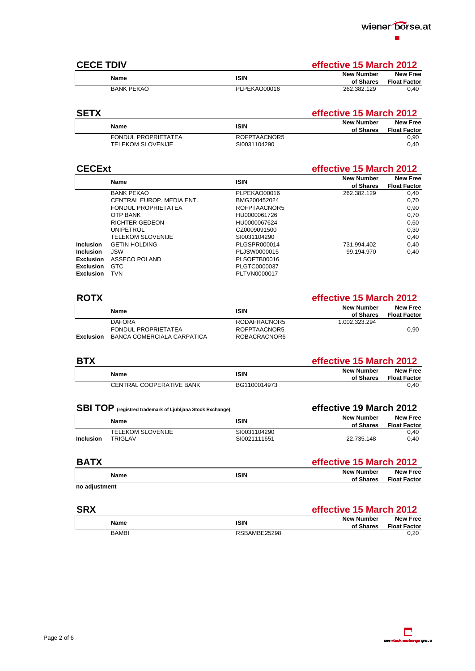

### **CECE TDIV effective 15 March 2012**

|                   |              | New Free<br>wew Nullipe.<br>. <del>.</del> <del>.</del> |
|-------------------|--------------|---------------------------------------------------------|
| $\blacksquare$    |              | of Shares Float Factor                                  |
| <b>BANK PEKAO</b> | PLPEKAO00016 | 262.382.129<br>5 - 1 - 1                                |

### **SETX effective 15 March 2012**

# **CECExt effective 15 March 2012**

|                                |                                          |              | <b>New Number</b> | New Free               |
|--------------------------------|------------------------------------------|--------------|-------------------|------------------------|
|                                | Name                                     |              |                   | of Shares Float Factor |
|                                | <b>BANK PEKAO</b>                        | PLPEKAO00016 | 262.382.129       | 0,40                   |
|                                | CENTRAL EUROP. MEDIA ENT.                | BMG200452024 |                   |                        |
|                                | FONDUL PROPRIETATEA                      | ROFPTAACNOR5 |                   |                        |
|                                | OTP BANK                                 | HU0000061726 |                   |                        |
|                                | <b>RICHTER GEDEON</b>                    | HU0000067624 |                   |                        |
|                                |                                          | CZ0009091500 |                   |                        |
|                                | UNIPETROL<br>TELEKOM SLOVENIJE           | SI0031104290 |                   |                        |
|                                | Inclusion GETIN HOLDING                  | PLGSPR000014 | 731.994.402       | 0,40                   |
|                                |                                          | PLJSW0000015 | 99.194.970        | 0,40                   |
|                                | Inclusion JSW<br>Exclusion ASSECO POLAND | PLSOFTB00016 |                   |                        |
|                                |                                          | PLGTC0000037 |                   |                        |
| Exclusion GTC<br>Exclusion TVN |                                          | PLTVN0000017 |                   |                        |

### **ROTX effective 15 March 2012**

| ιναιιιν                              |              | <b>New Number</b><br><b>New Free</b><br>of Shares Float Factor |
|--------------------------------------|--------------|----------------------------------------------------------------|
| <b>DAFORA</b>                        | RODAFRACNOR5 | 1.002.323.294                                                  |
| FONDUL PROPRIETATEA                  | ROFPTAACNOR5 |                                                                |
| Exclusion BANCA COMERCIALA CARPATICA | ROBACRACNOR6 |                                                                |

| <b>BTX</b>               |              | <b>effective 15 March 2012</b>                                    |
|--------------------------|--------------|-------------------------------------------------------------------|
|                          |              | <b>New Numbe</b><br>New Freel<br><b>Float Factor</b><br>of Shares |
| CENTRAL COOPERATIVE BANK | 3G1100014973 |                                                                   |

| <b>SBI TOP</b> (registred trademark of Ljubljana Stock Exchange) |                              | effective 19 March 2012 |                                    |
|------------------------------------------------------------------|------------------------------|-------------------------|------------------------------------|
| Namr                                                             |                              | New Numbe               | New Free<br>of Shares Float Factor |
| <b>TELEKOM SLOVENIJE</b><br>Inclusion TRIGLAV                    | 310031104290<br>SI0021111651 | 22.735.148              |                                    |

| <b>BATX</b>   | ffective 15 March 2012                                     |
|---------------|------------------------------------------------------------|
|               | New Number<br>New Free<br><b>Float Factor</b><br>of Shares |
| no adjustment |                                                            |

| <b>SRX</b>   |                                       | effective 15 March 2012                                                       |
|--------------|---------------------------------------|-------------------------------------------------------------------------------|
|              |                                       | <b>New Number</b><br>New Free<br><b>Float Factor</b><br>of Sharoc<br>ນເປນເຕະລ |
| <b>DAMDI</b> | <b>DODAMDE3530</b><br>wind consumers. |                                                                               |

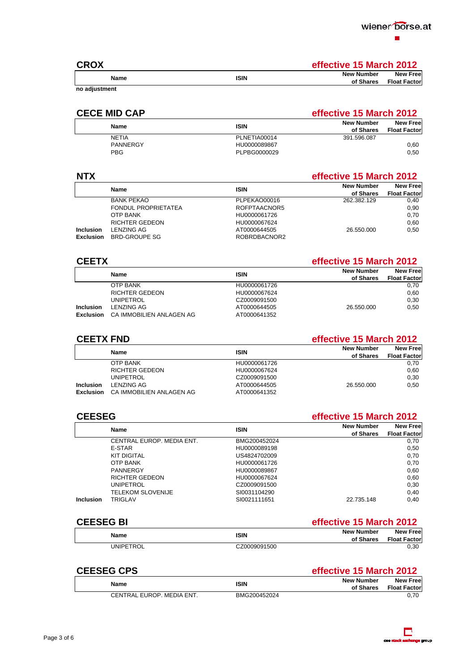| <b>CROX</b>  | rfective 15 March 2012                                  |
|--------------|---------------------------------------------------------|
| .            | <b>New Free</b><br>lew Number<br>of Shares Float Factor |
| no adjustmen |                                                         |

### **CECE MID CAP effective 15 March 2012**

| <b>N</b> low<br>ייטי     | <b>New Number</b><br>New Free<br>of Shares Float Factor |
|--------------------------|---------------------------------------------------------|
| PLNETIA00014             | 301 506 087<br>701.000.001                              |
| PANNERGY<br>HU0000089867 |                                                         |
| PLPBG0000029             |                                                         |

### **NTX effective 15 March 2012**

| Nam                     |              | . ew Number            | <b>New Free</b> |
|-------------------------|--------------|------------------------|-----------------|
|                         |              | of Shares Float Factor |                 |
| <b>BANK PEKAO</b>       | PLPEKAO00016 | 262.382.129            |                 |
| FONDUL PROPRIETATEA     | ROFPTAACNOR5 |                        |                 |
| OTP BANK                | HU0000061726 |                        |                 |
| RICHTER GEDEON          | HU0000067624 |                        |                 |
| Inclusion LENZING AG    | AT0000644505 | 26.550.000             |                 |
| Exclusion BRD-GROUPE SG | ROBRDBACNOR2 |                        |                 |

| <b>CEETX</b> |                                                            |                              | <b>effective 15 March 2012</b>                   |      |
|--------------|------------------------------------------------------------|------------------------------|--------------------------------------------------|------|
|              |                                                            |                              | New Free<br>New Number<br>of Shares Float Factor |      |
| OTP BANK     |                                                            | HU0000061726                 |                                                  |      |
|              |                                                            | HU0000067624                 |                                                  |      |
|              | RICHTER GEDEON<br>UNIPETROL                                | CZ0009091500                 |                                                  |      |
|              |                                                            |                              | 16.550.000                                       | 0.50 |
|              | Inclusion LENZING AG<br>Exclusion CA IMMOBILIEN ANLAGEN AG | AT0000644505<br>AT0000641352 |                                                  |      |

### **CEETX FND effective 15 March 2012**

|                                    |              | New Free'<br>New Number |
|------------------------------------|--------------|-------------------------|
|                                    |              | of Shares Float Factor  |
| OTP BANK                           | HU0000061726 |                         |
| RICHTER GEDEON                     | HU0000067624 |                         |
|                                    | CZ0009091500 |                         |
| UNIPETROL<br>Inclusion LENZING AG  | AT0000644505 | 26.550.000<br>0.50      |
| Exclusion CA IMMOBILIEN ANLAGEN AG | AT0000641352 |                         |

### **CEESEG effective 15 March 2012 Name ISIN New Number of Shares New Free Float Factor**  CENTRAL EUROP. MEDIA ENT. BMG200452024 0,70 E-STAR HU0000089198 0,50 KIT DIGITAL US4824702009 0,70 OTP BANK HU0000061726 0,70 PANNERGY HU0000089867 0,60 RICHTER GEDEON HU0000067624 0,60 UNIPETROL CZ0009091500 0,30 TELEKOM SLOVENIJE SI0031104290 0,40 **Inclusion** TRIGLAV SI0021111651 22.735.148 0,40

### **CEESEG BI effective 15 March 2012**

| CZ0009091500<br>UNIPETROL |
|---------------------------|

### **CEESEG CPS effective 15 March 2012**

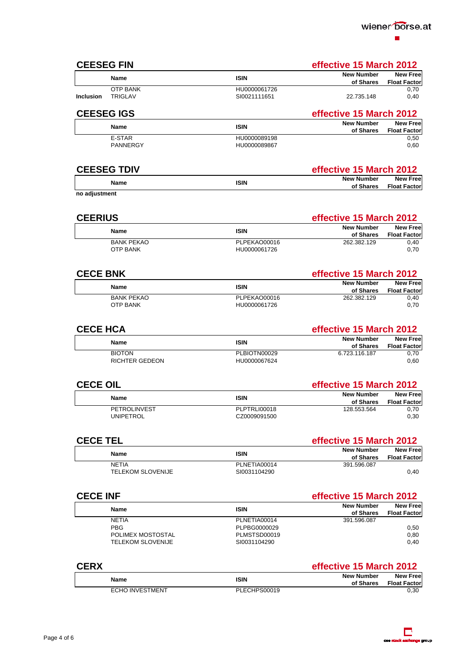

| <b>CEESEG FIN</b>                        |                                     | effective 15 March 2012                                                            |
|------------------------------------------|-------------------------------------|------------------------------------------------------------------------------------|
| <b>Name</b>                              | <b>ISIN</b>                         | <b>New Free</b><br><b>New Number</b><br><b>Float Factor</b><br>of Shares           |
| OTP BANK<br>Inclusion TRIGLAV            | HU0000061726<br>SI0021111651        | 0,70<br>22.735.148<br>0,40                                                         |
| <b>CEESEG IGS</b>                        |                                     | effective 15 March 2012                                                            |
| Name                                     | <b>ISIN</b>                         | <b>New Free</b><br><b>New Number</b>                                               |
| E-STAR                                   | HU0000089198                        | of Shares Float Factor<br>$0,50$<br>$0,60$                                         |
| PANNERGY                                 | HU0000089867                        |                                                                                    |
| <b>CEESEG TDIV</b>                       |                                     | effective 15 March 2012                                                            |
| Name                                     | <b>ISIN</b>                         | <b>New Free</b><br><b>New Number</b><br>of Shares Float Factor                     |
| no adjustment                            |                                     |                                                                                    |
| <b>CEERIUS</b>                           |                                     | effective 15 March 2012                                                            |
| <b>Name</b>                              | <b>ISIN</b>                         | <b>New Free</b><br><b>New Number</b>                                               |
| <b>BANK PEKAO</b>                        | PLPEKAO00016                        | <b>Float Factor</b><br>of Shares<br>$\frac{0,40}{0,70}$<br>262.382.129             |
| <b>OTP BANK</b>                          | HU0000061726                        |                                                                                    |
| <b>CECE BNK</b>                          |                                     | effective 15 March 2012                                                            |
| <b>Name</b>                              | <b>ISIN</b>                         | <b>New Free</b><br><b>New Number</b><br><b>Float Factor</b><br>of Shares           |
| <b>BANK PEKAO</b><br><b>OTP BANK</b>     | PLPEKAO00016<br>HU0000061726        | 0,40<br>262.382.129<br>0,70                                                        |
|                                          |                                     |                                                                                    |
| <b>CECE HCA</b>                          |                                     | effective 15 March 2012                                                            |
| <b>Name</b>                              | <b>ISIN</b>                         | <b>New Free</b><br><b>New Number</b><br><b>Float Factor</b><br>of Shares           |
| <b>BIOTON</b><br>RICHTER GEDEON          | PLBIOTN00029<br>HU0000067624        | 0,70<br>6.723.116.187<br>0,60                                                      |
|                                          |                                     |                                                                                    |
| <b>CECE OIL</b>                          |                                     | effective 15 March 2012                                                            |
| Name                                     | <b>ISIN</b>                         | <b>New Free</b><br><b>New Number</b><br>of Shares Float Factor<br>128.553.564 0,70 |
| PETROLINVEST<br><b>UNIPETROL</b>         | <b>PLPTRLI00018</b><br>CZ0009091500 | 128.553.564<br>0,30                                                                |
|                                          |                                     |                                                                                    |
| <b>CECE TEL</b>                          |                                     | effective 15 March 2012                                                            |
| <b>Name</b>                              | <b>ISIN</b>                         | New Number New Free<br>of Shares Float Factor<br>391.596.087                       |
| <b>NETIA</b><br><b>TELEKOM SLOVENIJE</b> | PLNETIA00014<br>SI0031104290        | 0,40                                                                               |
|                                          |                                     |                                                                                    |
| <b>CECE INF</b>                          |                                     | effective 15 March 2012                                                            |
| <b>Name</b>                              | <b>ISIN</b>                         | <b>New Free</b><br><b>New Number</b><br>of Shares<br><b>Float Factor</b>           |
| <b>NETIA</b><br>PBG                      | PLNETIA00014<br>PLPBG0000029        | 391.596.087<br>0,50                                                                |
| POLIMEX MOSTOSTAL<br>TELEKOM SLOVENIJE   | PLMSTSD00019<br>SI0031104290        | 0,80<br>0,40                                                                       |
|                                          |                                     |                                                                                    |
| <b>CERX</b>                              |                                     | effective 15 March 2012                                                            |
| <b>Name</b>                              | <b>ISIN</b>                         | The Mumber<br>Shares Float Factor<br><b>New Number</b>                             |
| <b>ECHO INVESTMENT</b>                   | PLECHPS00019                        | 0.30                                                                               |

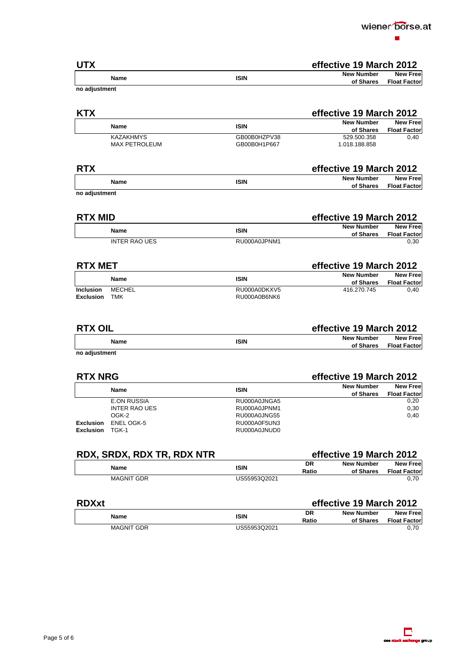

| <b>UTX</b>                                                |                              | effective 19 March 2012 |                                                          |
|-----------------------------------------------------------|------------------------------|-------------------------|----------------------------------------------------------|
| Name                                                      | <b>ISIN</b>                  |                         | New Number New Free<br>of Shares Float Factor            |
| no adjustment                                             |                              |                         |                                                          |
|                                                           |                              |                         |                                                          |
| <b>KTX</b>                                                |                              | effective 19 March 2012 |                                                          |
| Name                                                      | <b>ISIN</b>                  |                         | New Number<br>of Shares Float Factor<br>529.500.358 0,40 |
| <b>KAZAKHMYS</b>                                          | GB00B0HZPV38                 |                         |                                                          |
| MAX PETROLEUM                                             | GB00B0H1P667                 | 1.018.188.858           |                                                          |
|                                                           |                              |                         |                                                          |
| <b>RTX</b>                                                |                              | effective 19 March 2012 |                                                          |
| Name                                                      | <b>ISIN</b>                  |                         | New Number New Free<br>of Shares Float Factor            |
| no adjustment                                             |                              |                         |                                                          |
|                                                           |                              |                         |                                                          |
| <b>RTX MID</b>                                            |                              | effective 19 March 2012 |                                                          |
| Name                                                      | <b>ISIN</b>                  |                         | New Number New Free<br>of Shares Float Factor            |
| <b>INTER RAO UES</b>                                      | RU000A0JPNM1                 |                         | 0,30                                                     |
|                                                           |                              |                         |                                                          |
| <b>RTX MET</b>                                            |                              | effective 19 March 2012 |                                                          |
| Name                                                      | <b>ISIN</b>                  |                         | New Number<br>of Shares Float Factor<br>416.270.745 0,40 |
| Inclusion MECHEL                                          | RU000A0DKXV5                 |                         |                                                          |
| Exclusion TMK                                             | RU000A0B6NK6                 |                         |                                                          |
|                                                           |                              |                         |                                                          |
|                                                           |                              |                         |                                                          |
| <b>RTX OIL</b>                                            |                              | effective 19 March 2012 |                                                          |
| Name                                                      | <b>ISIN</b>                  |                         | New Number New Free<br>of Shares Float Factor            |
| no adjustment                                             |                              |                         |                                                          |
|                                                           |                              |                         |                                                          |
| <b>RTX NRG</b>                                            |                              | effective 19 March 2012 |                                                          |
| <b>Name</b>                                               | <b>ISIN</b>                  |                         | New Number New Free<br>of Shares Float Factor            |
| <b>E.ON RUSSIA</b>                                        | RU000A0JNGA5                 |                         | 0,20                                                     |
| <b>INTER RAO UES</b>                                      | RU000A0JPNM1<br>RU000A0JNG55 |                         | 0,30<br>0,40                                             |
| OGK-2<br>DGK-2<br>Exclusion ENEL OGK-5<br>Exclusion TGK-1 | RU000A0F5UN3<br>RU000A0JNUD0 |                         |                                                          |
|                                                           |                              |                         |                                                          |
|                                                           |                              | effective 19 March 2012 |                                                          |
| RDX, SRDX, RDX TR, RDX NTR                                |                              | <b>New Number</b><br>DR |                                                          |
| Name                                                      | <b>ISIN</b>                  | Ratio                   | ew Number New Free<br>of Shares Float Factor             |
| <b>MAGNIT GDR</b>                                         | US55953Q2021                 |                         | 0,70                                                     |
|                                                           |                              |                         |                                                          |
| <b>RDXxt</b>                                              |                              | effective 19 March 2012 |                                                          |
| Name                                                      | <b>ISIN</b>                  | DR<br>Ratio             | New Number New Free<br>of Shares Float Factor<br>0,70    |
| <b>MAGNIT GDR</b>                                         | US55953Q2021                 |                         |                                                          |

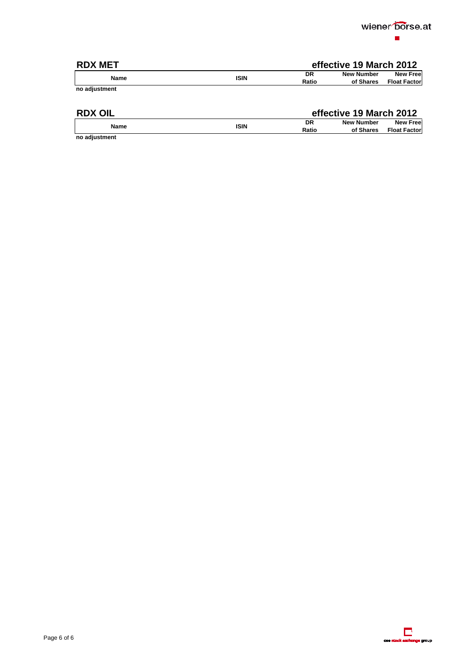

Page 6 of 6

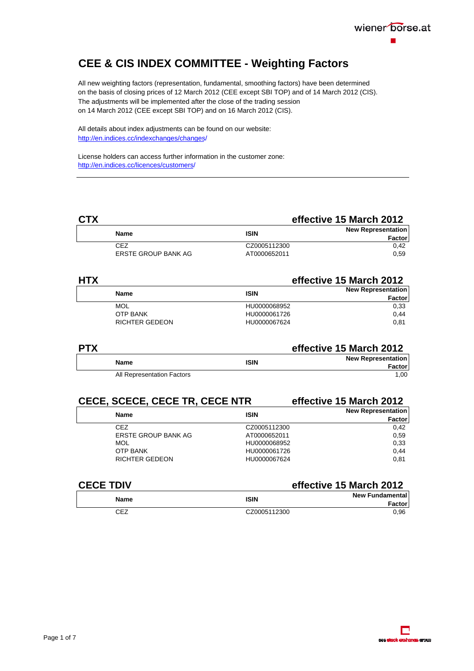

# <span id="page-7-0"></span>**CEE & CIS INDEX COMMITTEE - Weighting Factors**

All new weighting factors (representation, fundamental, smoothing factors) have been determined on the basis of closing prices of 12 March 2012 (CEE except SBI TOP) and of 14 March 2012 (CIS). The adjustments will be implemented after the close of the trading session on 14 March 2012 (CEE except SBI TOP) and on 16 March 2012 (CIS).

All details about index adjustments can be found on our website: http://en.indices.cc/indexchanges/changes/

License holders can access further information in the customer zone: http://en.indices.cc/licences/customers/

### **CTX effective 15 March 2012 Name Name ISIN ISIN New Representation Factor**  CEZ CZ0005112300 0,42 ERSTE GROUP BANK AG  $A$ T0000652011 0,59

| <b>HTX</b> |                       |              | effective 15 March 2012   |  |
|------------|-----------------------|--------------|---------------------------|--|
|            | <b>Name</b>           | <b>ISIN</b>  | <b>New Representation</b> |  |
|            |                       |              | Factor                    |  |
|            | MOL                   | HU0000068952 | 0.33                      |  |
|            | <b>OTP BANK</b>       | HU0000061726 | 0.44                      |  |
|            | <b>RICHTER GEDEON</b> | HU0000067624 | 0.81                      |  |

| <b>PTX</b> |                            | effective 15 March 2012 |                           |
|------------|----------------------------|-------------------------|---------------------------|
|            | <b>Name</b>                | <b>ISIN</b>             | <b>New Representation</b> |
|            |                            |                         | Factor                    |
|            | All Representation Factors |                         | 1.00                      |

### **CECE, SCECE, CECE TR, CECE NTR effective 15 March 2012**

| <b>Name</b>           | <b>ISIN</b>  | <b>New Representation</b><br>Factor |
|-----------------------|--------------|-------------------------------------|
| <b>CEZ</b>            | CZ0005112300 | 0.42                                |
| ERSTE GROUP BANK AG   | AT0000652011 | 0.59                                |
| MOL                   | HU0000068952 | 0.33                                |
| <b>OTP BANK</b>       | HU0000061726 | 0.44                                |
| <b>RICHTER GEDEON</b> | HU0000067624 | 0.81                                |
|                       |              |                                     |

### **effective 15 March 2012**

| <b>Name</b> | <b>ISIN</b>  | <b>New Fundamental</b><br>Factor |
|-------------|--------------|----------------------------------|
| CEZ         | CZ0005112300 | 0.96                             |

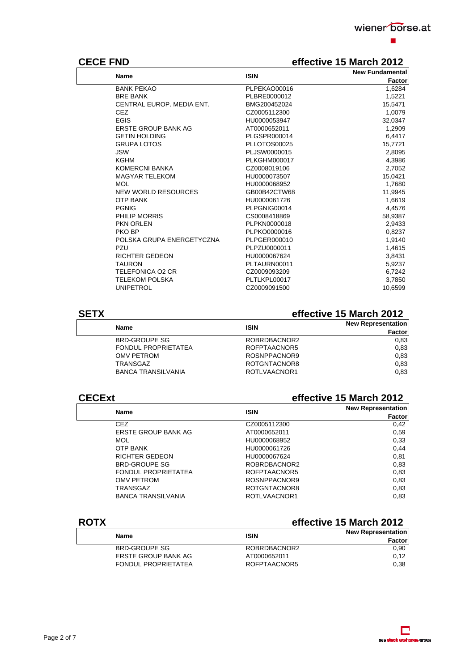

# **CECE FND effective 15 March 2012**

| <b>Name</b>                | <b>ISIN</b>         | <b>New Fundamental</b> |
|----------------------------|---------------------|------------------------|
|                            |                     | Factor                 |
| <b>BANK PEKAO</b>          | PLPEKAO00016        | 1,6284                 |
| <b>BRE BANK</b>            | PLBRE0000012        | 1,5221                 |
| CENTRAL EUROP, MEDIA ENT.  | BMG200452024        | 15,5471                |
| <b>CEZ</b>                 | CZ0005112300        | 1,0079                 |
| <b>EGIS</b>                | HU0000053947        | 32,0347                |
| ERSTE GROUP BANK AG        | AT0000652011        | 1,2909                 |
| <b>GETIN HOLDING</b>       | PLGSPR000014        | 6,4417                 |
| <b>GRUPA LOTOS</b>         | PLLOTOS00025        | 15,7721                |
| <b>JSW</b>                 | PLJSW0000015        | 2,8095                 |
| KGHM                       | <b>PLKGHM000017</b> | 4,3986                 |
| KOMERCNI BANKA             | CZ0008019106        | 2,7052                 |
| <b>MAGYAR TELEKOM</b>      | HU0000073507        | 15,0421                |
| <b>MOL</b>                 | HU0000068952        | 1,7680                 |
| <b>NEW WORLD RESOURCES</b> | GB00B42CTW68        | 11,9945                |
| <b>OTP BANK</b>            | HU0000061726        | 1,6619                 |
| <b>PGNIG</b>               | PLPGNIG00014        | 4,4576                 |
| PHILIP MORRIS              | CS0008418869        | 58,9387                |
| PKN ORLEN                  | PLPKN0000018        | 2,9433                 |
| PKO BP                     | PLPKO0000016        | 0,8237                 |
| POLSKA GRUPA ENERGETYCZNA  | PLPGER000010        | 1,9140                 |
| PZU                        | PLPZU0000011        | 1,4615                 |
| <b>RICHTER GEDEON</b>      | HU0000067624        | 3,8431                 |
| <b>TAURON</b>              | PLTAURN00011        | 5,9237                 |
| TELEFONICA O2 CR           | CZ0009093209        | 6,7242                 |
| <b>TELEKOM POLSKA</b>      | PLTLKPL00017        | 3,7850                 |
| <b>UNIPETROL</b>           | CZ0009091500        | 10.6599                |
|                            |                     |                        |

# **SETX effective 15 March 2012**

| <b>Name</b>                | <b>ISIN</b>  | <b>New Representation</b><br><b>Factor</b> |
|----------------------------|--------------|--------------------------------------------|
| <b>BRD-GROUPE SG</b>       | ROBRDBACNOR2 | 0.83                                       |
| <b>FONDUL PROPRIETATEA</b> | ROFPTAACNOR5 | 0.83                                       |
| OMV PETROM                 | ROSNPPACNOR9 | 0.83                                       |
| TRANSGAZ                   | ROTGNTACNOR8 | 0.83                                       |
| <b>BANCA TRANSILVANIA</b>  | ROTLVAACNOR1 | 0.83                                       |
|                            |              |                                            |

### **CECExt effective 15 March 2012**

| <b>Name</b>                | <b>ISIN</b>  | <b>New Representation</b> |  |
|----------------------------|--------------|---------------------------|--|
|                            |              | Factor                    |  |
| CEZ.                       | CZ0005112300 | 0,42                      |  |
| <b>ERSTE GROUP BANK AG</b> | AT0000652011 | 0.59                      |  |
| <b>MOL</b>                 | HU0000068952 | 0.33                      |  |
| <b>OTP BANK</b>            | HU0000061726 | 0.44                      |  |
| <b>RICHTER GEDEON</b>      | HU0000067624 | 0.81                      |  |
| <b>BRD-GROUPE SG</b>       | ROBRDBACNOR2 | 0.83                      |  |
| <b>FONDUL PROPRIETATEA</b> | ROFPTAACNOR5 | 0,83                      |  |
| OMV PETROM                 | ROSNPPACNOR9 | 0.83                      |  |
| TRANSGAZ                   | ROTGNTACNOR8 | 0,83                      |  |
| <b>BANCA TRANSILVANIA</b>  | ROTLVAACNOR1 | 0.83                      |  |

# **ROTX effective 15 March 2012**

| Name                       | <b>ISIN</b>  | <b>New Representation</b><br><b>Factor</b> |
|----------------------------|--------------|--------------------------------------------|
| BRD-GROUPE SG              | ROBRDBACNOR2 | 0.90                                       |
| ERSTE GROUP BANK AG        | AT0000652011 | 0.12                                       |
| <b>FONDUL PROPRIETATEA</b> | ROFPTAACNOR5 | 0.38                                       |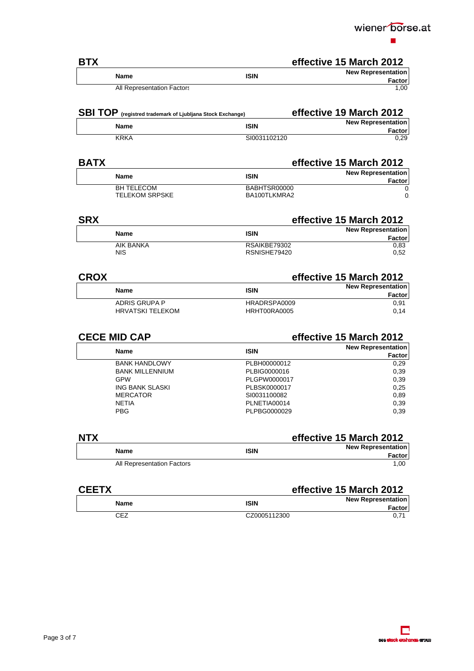

| <b>BTX</b> |                            |             | effective 15 March 2012                    |
|------------|----------------------------|-------------|--------------------------------------------|
|            | <b>Name</b>                | <b>ISIN</b> | <b>New Representation</b><br><b>Factor</b> |
|            | All Representation Factors |             | 1.00                                       |

| <b>SBI TOP</b> (registred trademark of Ljubljana Stock Exchange) |              | effective 19 March 2012             |
|------------------------------------------------------------------|--------------|-------------------------------------|
| <b>Name</b>                                                      | <b>ISIN</b>  | <b>New Representation</b><br>Factor |
| <b>KRKA</b>                                                      | SI0031102120 | 0.29                                |

### **BATX BATX effective 15 March 2012**

| <b>Name</b>                                | <b>ISIN</b>                  | <b>New Representation</b><br><b>Factor</b> |
|--------------------------------------------|------------------------------|--------------------------------------------|
| <b>BH TELECOM</b><br><b>TELEKOM SRPSKE</b> | BABHTSR00000<br>BA100TLKMRA2 |                                            |

| <b>SRX</b>  |           |              | effective 15 March 2012   |  |
|-------------|-----------|--------------|---------------------------|--|
|             |           | <b>ISIN</b>  | <b>New Representation</b> |  |
| <b>Name</b> |           |              | Factor                    |  |
|             | AIK BANKA | RSAIKBE79302 | 0,83                      |  |
| <b>NIS</b>  |           | RSNISHE79420 | 0.52                      |  |

| <b>CROX</b> |                         |              | effective 15 March 2012   |  |
|-------------|-------------------------|--------------|---------------------------|--|
|             | <b>Name</b>             | ISIN         | <b>New Representation</b> |  |
|             |                         |              | Factor                    |  |
|             | ADRIS GRUPA P           | HRADRSPA0009 | 0.91                      |  |
|             | <b>HRVATSKI TELEKOM</b> | HRHT00RA0005 | 0.14                      |  |

| <b>CECE MID CAP</b>    | effective 15 March 2012 |                           |
|------------------------|-------------------------|---------------------------|
| <b>Name</b>            | <b>ISIN</b>             | <b>New Representation</b> |
|                        |                         | Factor                    |
| <b>BANK HANDLOWY</b>   | PLBH00000012            | 0,29                      |
| <b>BANK MILLENNIUM</b> | PLBIG0000016            | 0,39                      |
| <b>GPW</b>             | PLGPW0000017            | 0,39                      |
| ING BANK SLASKI        | PLBSK0000017            | 0,25                      |
| <b>MERCATOR</b>        | SI0031100082            | 0.89                      |
| <b>NETIA</b>           | PLNETIA00014            | 0,39                      |
| <b>PBG</b>             | PLPBG0000029            | 0,39                      |
|                        |                         |                           |

| <b>NTX</b>                 |             | effective 15 March 2012   |  |
|----------------------------|-------------|---------------------------|--|
| <b>Name</b>                | <b>ISIN</b> | <b>New Representation</b> |  |
|                            |             | Factor                    |  |
| All Representation Factors |             | 1.00                      |  |

| <b>CEETX</b> |              | effective 15 March 2012                    |
|--------------|--------------|--------------------------------------------|
| <b>Name</b>  | <b>ISIN</b>  | <b>New Representation</b><br><b>Factor</b> |
| <b>CEZ</b>   | CZ0005112300 | $0.7^*$                                    |

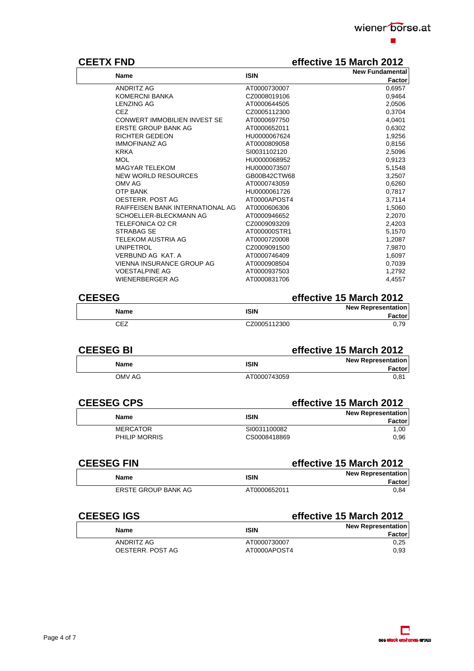

# **CEETX FND effective 15 March 2012**

| <b>Name</b>                         | <b>ISIN</b>  | <b>New Fundamental</b> |
|-------------------------------------|--------------|------------------------|
|                                     |              | Factor                 |
| <b>ANDRITZ AG</b>                   | AT0000730007 | 0,6957                 |
| KOMERCNI BANKA                      | CZ0008019106 | 0,9464                 |
| <b>LENZING AG</b>                   | AT0000644505 | 2,0506                 |
| <b>CEZ</b>                          | CZ0005112300 | 0,3704                 |
| <b>CONWERT IMMOBILIEN INVEST SE</b> | AT0000697750 | 4,0401                 |
| <b>ERSTE GROUP BANK AG</b>          | AT0000652011 | 0,6302                 |
| <b>RICHTER GEDEON</b>               | HU0000067624 | 1,9256                 |
| <b>IMMOFINANZ AG</b>                | AT0000809058 | 0,8156                 |
| <b>KRKA</b>                         | SI0031102120 | 2,5096                 |
| <b>MOL</b>                          | HU0000068952 | 0,9123                 |
| <b>MAGYAR TELEKOM</b>               | HU0000073507 | 5,1548                 |
| <b>NEW WORLD RESOURCES</b>          | GB00B42CTW68 | 3,2507                 |
| OMV AG                              | AT0000743059 | 0,6260                 |
| <b>OTP BANK</b>                     | HU0000061726 | 0,7817                 |
| OESTERR, POST AG                    | AT0000APOST4 | 3,7114                 |
| RAIFFEISEN BANK INTERNATIONAL AG    | AT0000606306 | 1,5060                 |
| SCHOELLER-BLECKMANN AG              | AT0000946652 | 2,2070                 |
| TELEFONICA O2 CR                    | CZ0009093209 | 2,4203                 |
| STRABAG SE                          | AT000000STR1 | 5,1570                 |
| <b>TELEKOM AUSTRIA AG</b>           | AT0000720008 | 1,2087                 |
| <b>UNIPETROL</b>                    | CZ0009091500 | 7,9870                 |
| VERBUND AG KAT. A                   | AT0000746409 | 1,6097                 |
| <b>VIENNA INSURANCE GROUP AG</b>    | AT0000908504 | 0,7039                 |
| <b>VOESTALPINE AG</b>               | AT0000937503 | 1,2792                 |
| <b>WIENERBERGER AG</b>              | AT0000831706 | 4,4557                 |
|                                     |              |                        |

### **CEESEG effective 15 March 2012**

|              | ***********************   |
|--------------|---------------------------|
| <b>ISIN</b>  | <b>New Representation</b> |
|              | Factorl                   |
| CZ0005112300 | 0.79                      |
|              |                           |

### **CEESEG BI effective 15 March 2012 Name ISIN Name ISIN New Representation Factor**  OMV AG AT0000743059

| <b>CEESEG CPS</b> |              | effective 15 March 2012   |  |
|-------------------|--------------|---------------------------|--|
| Name              | <b>ISIN</b>  | <b>New Representation</b> |  |
| MERCATOR          | SI0031100082 | Factor<br>1.00            |  |
| PHILIP MORRIS     | CS0008418869 | 0.96                      |  |

| <b>CEESEG FIN</b>   | effective 15 March 2012 |                                            |
|---------------------|-------------------------|--------------------------------------------|
| Name                | <b>ISIN</b>             | <b>New Representation</b><br><b>Factor</b> |
| ERSTE GROUP BANK AG | AT0000652011            | 0.84                                       |

# **CEESEG IGS** effective 15 March 2012

| <b>Name</b>      | <b>ISIN</b>  | <b>New Representation</b><br><b>Factor</b> |
|------------------|--------------|--------------------------------------------|
| ANDRITZ AG       | AT0000730007 | 0.25                                       |
| OESTERR, POST AG | AT0000APOST4 | 0.93                                       |

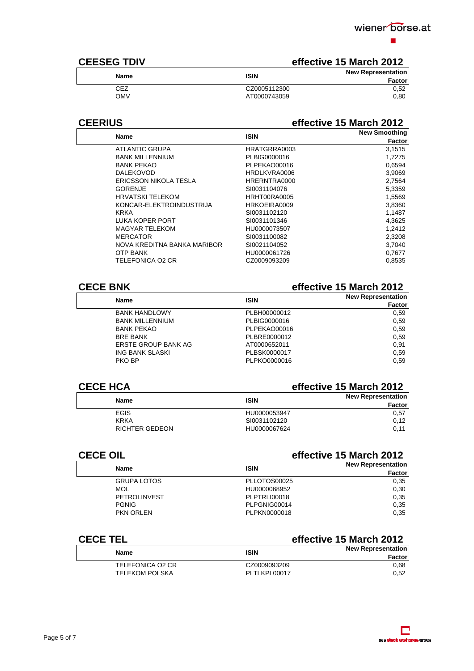

# **CEESEG TDIV Example 2012 effective 15 March 2012**

| <b>ISIN</b>  | <b>New Representation</b><br>Factor |
|--------------|-------------------------------------|
| CZ0005112300 | 0.52                                |
| AT0000743059 | 0.80                                |
|              |                                     |

### **CEERIUS effective 15 March 2012**

|              | <b>New Smoothing</b> |
|--------------|----------------------|
|              | <b>Factor</b>        |
| HRATGRRA0003 | 3,1515               |
| PLBIG0000016 | 1,7275               |
| PLPEKAO00016 | 0,6594               |
| HRDLKVRA0006 | 3,9069               |
| HRERNTRA0000 | 2,7564               |
| SI0031104076 | 5,3359               |
| HRHT00RA0005 | 1,5569               |
| HRKOEIRA0009 | 3,8360               |
| SI0031102120 | 1,1487               |
| SI0031101346 | 4,3625               |
| HU0000073507 | 1,2412               |
| SI0031100082 | 2,3208               |
| SI0021104052 | 3,7040               |
| HU0000061726 | 0,7677               |
| CZ0009093209 | 0,8535               |
|              | <b>ISIN</b>          |

### **CECE BNK effective 15 March 2012**

| <b>Name</b>            | <b>ISIN</b>  | <b>New Representation</b> |
|------------------------|--------------|---------------------------|
|                        |              | Factor                    |
| <b>BANK HANDLOWY</b>   | PLBH00000012 | 0.59                      |
| <b>BANK MILLENNIUM</b> | PLBIG0000016 | 0.59                      |
| <b>BANK PEKAO</b>      | PLPEKAO00016 | 0.59                      |
| <b>BRE BANK</b>        | PLBRE0000012 | 0.59                      |
| ERSTE GROUP BANK AG    | AT0000652011 | 0.91                      |
| ING BANK SLASKI        | PLBSK0000017 | 0.59                      |
| PKO BP                 | PLPKO0000016 | 0.59                      |
|                        |              |                           |

### **CECE HCA effective 15 March 2012**

| <b>Name</b>    | <b>ISIN</b>  | <b>New Representation</b><br><b>Factor</b> |
|----------------|--------------|--------------------------------------------|
| <b>EGIS</b>    | HU0000053947 | 0,57                                       |
| <b>KRKA</b>    | SI0031102120 | 0.12                                       |
| RICHTER GEDEON | HU0000067624 | 0.11                                       |

| <b>CECE OIL</b>     | effective 15 March 2012 |                           |
|---------------------|-------------------------|---------------------------|
| <b>Name</b>         | <b>ISIN</b>             | <b>New Representation</b> |
|                     |                         | Factor                    |
| <b>GRUPA LOTOS</b>  | PLLOTOS00025            | 0.35                      |
| <b>MOL</b>          | HU0000068952            | 0.30                      |
| <b>PETROLINVEST</b> | PLPTRLI00018            | 0.35                      |
| <b>PGNIG</b>        | PLPGNIG00014            | 0.35                      |
| <b>PKN ORLEN</b>    | PLPKN0000018            | 0.35                      |

### **CECE TEL effective 15 March 2012**

| _______               |              |                                            |  |
|-----------------------|--------------|--------------------------------------------|--|
| Name                  | <b>ISIN</b>  | <b>New Representation</b><br><b>Factor</b> |  |
| TELEFONICA O2 CR      | CZ0009093209 | 0.68                                       |  |
| <b>TELEKOM POLSKA</b> | PLTLKPL00017 | 0.52                                       |  |
|                       |              |                                            |  |

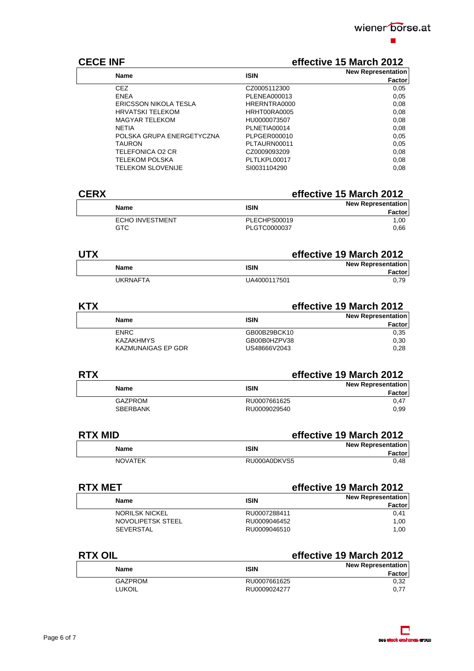

### **CECE INF CECE INF Example 2012**

| <b>Name</b>                  | <b>ISIN</b>  | <b>New Representation</b> |
|------------------------------|--------------|---------------------------|
|                              |              | Factor                    |
| <b>CEZ</b>                   | CZ0005112300 | 0,05                      |
| <b>ENEA</b>                  | PLENEA000013 | 0,05                      |
| <b>ERICSSON NIKOLA TESLA</b> | HRERNTRA0000 | 0.08                      |
| <b>HRVATSKI TELEKOM</b>      | HRHT00RA0005 | 0.08                      |
| <b>MAGYAR TELEKOM</b>        | HU0000073507 | 0,08                      |
| <b>NETIA</b>                 | PLNETIA00014 | 0,08                      |
| POLSKA GRUPA ENERGETYCZNA    | PLPGER000010 | 0.05                      |
| <b>TAURON</b>                | PLTAURN00011 | 0,05                      |
| TELEFONICA O2 CR             | CZ0009093209 | 0.08                      |
| <b>TELEKOM POLSKA</b>        | PLTLKPL00017 | 0.08                      |
| <b>TELEKOM SLOVENIJE</b>     | SI0031104290 | 0.08                      |

| <b>CERX</b> |                                | effective 15 March 2012      |                                            |
|-------------|--------------------------------|------------------------------|--------------------------------------------|
|             | Name                           | <b>ISIN</b>                  | <b>New Representation</b><br><b>Factor</b> |
|             | <b>ECHO INVESTMENT</b><br>GTC. | PLECHPS00019<br>PLGTC0000037 | 1.00<br>0.66                               |

| <b>UTX</b> |          |              | effective 19 March 2012             |  |  |
|------------|----------|--------------|-------------------------------------|--|--|
|            | Name     | <b>ISIN</b>  | <b>New Representation</b><br>Factor |  |  |
|            | UKRNAFTA | UA4000117501 | 0.79                                |  |  |

### **KTX effective 19 March 2012**

| Name               | <b>ISIN</b>  | <b>New Representation</b><br>Factor |
|--------------------|--------------|-------------------------------------|
| <b>ENRC</b>        | GB00B29BCK10 | 0.35                                |
| <b>KAZAKHMYS</b>   | GB00B0HZPV38 | 0.30                                |
| KAZMUNAIGAS EP GDR | US48666V2043 | 0.28                                |

### **RTX effective 19 March 2012**

| <b>Name</b>     | <b>ISIN</b>  | <b>New Representation</b><br>Factor |
|-----------------|--------------|-------------------------------------|
| GAZPROM         | RU0007661625 | 0.47                                |
| <b>SBERBANK</b> | RU0009029540 | 0.99                                |

### **RTX MID effective 19 March 2012**

| <b>Name</b>    | ISIN         | <b>New Representation</b><br><b>Factor</b> |
|----------------|--------------|--------------------------------------------|
| <b>NOVATEK</b> | RU000A0DKVS5 | 0.48                                       |

### **RTX MET** effective 19 March 2012 **Name ISIN Name ISIN New Representation Factor**  NORILSK NICKEL **RU0007288411** 0,41 NOVOLIPETSK STEEL RU0009046452 RU0009046452 SEVERSTAL 1,00

### **RTX OIL effective 19 March 2012 Name Name ISIN Name ISIN New Representation Factor**  GAZPROM RU0007661625 0,32 RU0009024277